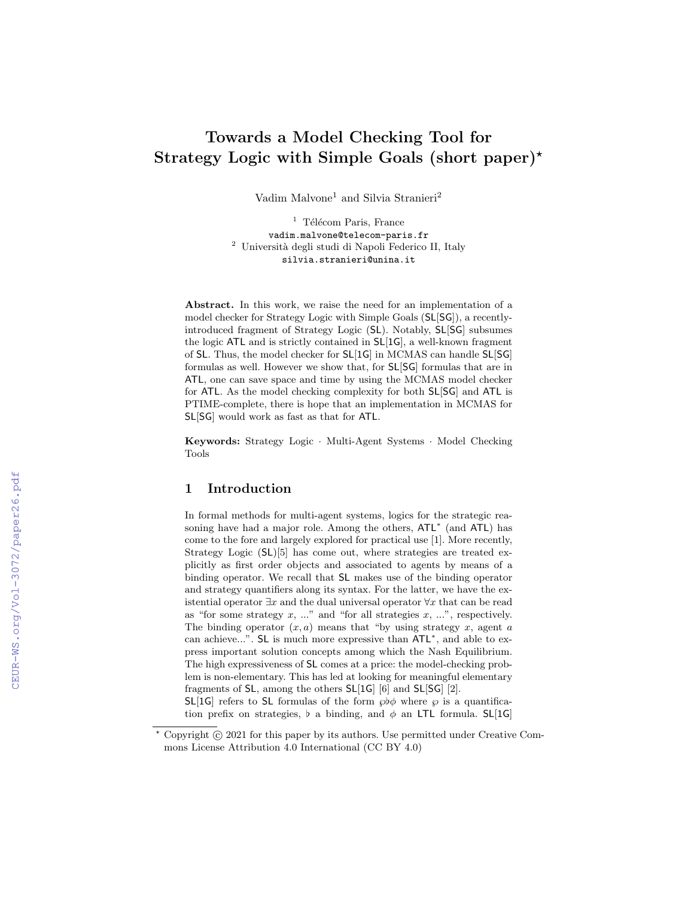# Towards a Model Checking Tool for Strategy Logic with Simple Goals (short paper)<sup>\*</sup>

Vadim $\mathit{Malvone}^1$  and Silvia Stranieri $^2$ 

 $<sup>1</sup>$  Télécom Paris, France</sup> vadim.malvone@telecom-paris.fr <sup>2</sup> Università degli studi di Napoli Federico II, Italy silvia.stranieri@unina.it

Abstract. In this work, we raise the need for an implementation of a model checker for Strategy Logic with Simple Goals (SL[SG]), a recentlyintroduced fragment of Strategy Logic (SL). Notably, SL[SG] subsumes the logic ATL and is strictly contained in SL[1G], a well-known fragment of SL. Thus, the model checker for SL[1G] in MCMAS can handle SL[SG] formulas as well. However we show that, for SL[SG] formulas that are in ATL, one can save space and time by using the MCMAS model checker for ATL. As the model checking complexity for both SL[SG] and ATL is PTIME-complete, there is hope that an implementation in MCMAS for SL[SG] would work as fast as that for ATL.

Keywords: Strategy Logic · Multi-Agent Systems · Model Checking Tools

#### 1 Introduction

In formal methods for multi-agent systems, logics for the strategic reasoning have had a major role. Among the others,  $ATL^*$  (and  $ATL$ ) has come to the fore and largely explored for practical use [1]. More recently, Strategy Logic (SL)[5] has come out, where strategies are treated explicitly as first order objects and associated to agents by means of a binding operator. We recall that SL makes use of the binding operator and strategy quantifiers along its syntax. For the latter, we have the existential operator  $\exists x$  and the dual universal operator  $\forall x$  that can be read as "for some strategy  $x, \ldots$ " and "for all strategies  $x, \ldots$ ", respectively. The binding operator  $(x, a)$  means that "by using strategy x, agent a can achieve...". SL is much more expressive than ATL<sup>\*</sup>, and able to express important solution concepts among which the Nash Equilibrium. The high expressiveness of SL comes at a price: the model-checking problem is non-elementary. This has led at looking for meaningful elementary fragments of SL, among the others SL[1G] [6] and SL[SG] [2].

SL[1G] refers to SL formulas of the form  $\wp \phi$  where  $\wp$  is a quantification prefix on strategies,  $\flat$  a binding, and  $\phi$  an LTL formula. SL[1G]

 $*$  Copyright  $\odot$  2021 for this paper by its authors. Use permitted under Creative Commons License Attribution 4.0 International (CC BY 4.0)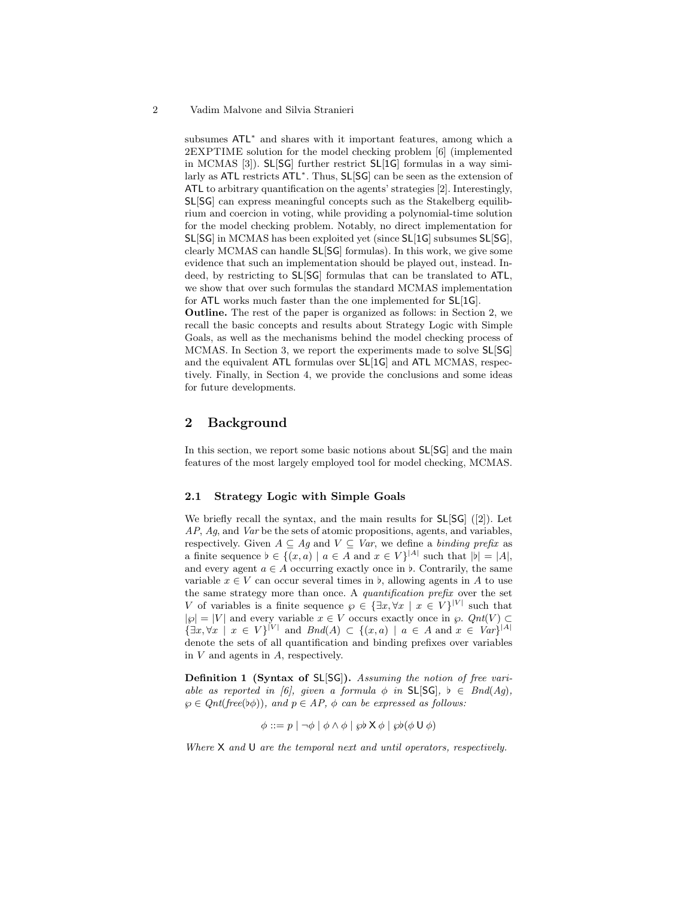#### 2 Vadim Malvone and Silvia Stranieri

subsumes ATL<sup>\*</sup> and shares with it important features, among which a 2EXPTIME solution for the model checking problem [6] (implemented in MCMAS [3]). SL[SG] further restrict SL[1G] formulas in a way similarly as ATL restricts ATL<sup>\*</sup>. Thus, SL[SG] can be seen as the extension of ATL to arbitrary quantification on the agents' strategies [2]. Interestingly, SL[SG] can express meaningful concepts such as the Stakelberg equilibrium and coercion in voting, while providing a polynomial-time solution for the model checking problem. Notably, no direct implementation for SL[SG] in MCMAS has been exploited yet (since SL[1G] subsumes SL[SG], clearly MCMAS can handle SL[SG] formulas). In this work, we give some evidence that such an implementation should be played out, instead. Indeed, by restricting to SL[SG] formulas that can be translated to ATL, we show that over such formulas the standard MCMAS implementation for ATL works much faster than the one implemented for SL[1G].

Outline. The rest of the paper is organized as follows: in Section 2, we recall the basic concepts and results about Strategy Logic with Simple Goals, as well as the mechanisms behind the model checking process of MCMAS. In Section 3, we report the experiments made to solve SL[SG] and the equivalent ATL formulas over SL[1G] and ATL MCMAS, respectively. Finally, in Section 4, we provide the conclusions and some ideas for future developments.

## 2 Background

In this section, we report some basic notions about  $SL[SG]$  and the main features of the most largely employed tool for model checking, MCMAS.

#### 2.1 Strategy Logic with Simple Goals

We briefly recall the syntax, and the main results for SL[SG] ([2]). Let AP, Aq, and Var be the sets of atomic propositions, agents, and variables, respectively. Given  $A \subseteq Ag$  and  $V \subseteq Var$ , we define a binding prefix as a finite sequence  $\flat \in \{(x, a) \mid a \in A \text{ and } x \in V\}^{|A|}$  such that  $|\flat| = |A|$ , and every agent  $a \in A$  occurring exactly once in  $\flat$ . Contrarily, the same variable  $x \in V$  can occur several times in b, allowing agents in A to use the same strategy more than once. A quantification prefix over the set V of variables is a finite sequence  $\varphi \in {\exists x, \forall x \mid x \in V}^{|V|}$  such that  $|\wp| = |V|$  and every variable  $x \in V$  occurs exactly once in  $\wp$ .  $Qnt(V) \subset$  $\{\exists x, \forall x \mid x \in V\}^{|V|}$  and  $\text{End}(A) \subset \{(x, a) \mid a \in A \text{ and } x \in \text{Var}\}^{|A|}$ denote the sets of all quantification and binding prefixes over variables in  $V$  and agents in  $A$ , respectively.

Definition 1 (Syntax of SL[SG]). Assuming the notion of free variable as reported in [6], given a formula  $\phi$  in SL[SG],  $\flat \in \text{Bnd}(Ag)$ ,  $\wp \in Qnt(free(b\phi)),$  and  $p \in AP$ ,  $\phi$  can be expressed as follows:

$$
\phi ::= p \mid \neg \phi \mid \phi \land \phi \mid \wp \flat \mathsf{X} \phi \mid \wp \flat (\phi \mathsf{U} \phi)
$$

Where X and U are the temporal next and until operators, respectively.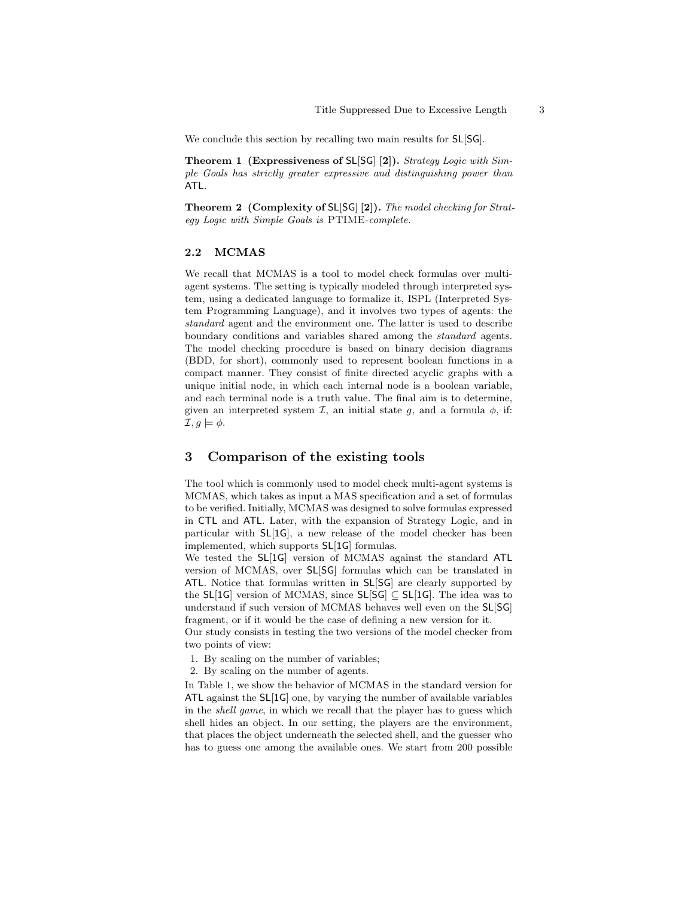We conclude this section by recalling two main results for  $SL[SG]$ .

Theorem 1 (Expressiveness of SL[SG] [2]). Strategy Logic with Simple Goals has strictly greater expressive and distinguishing power than ATL.

Theorem 2 (Complexity of SL[SG] [2]). The model checking for Strategy Logic with Simple Goals is PTIME-complete.

#### 2.2 MCMAS

We recall that MCMAS is a tool to model check formulas over multiagent systems. The setting is typically modeled through interpreted system, using a dedicated language to formalize it, ISPL (Interpreted System Programming Language), and it involves two types of agents: the standard agent and the environment one. The latter is used to describe boundary conditions and variables shared among the standard agents. The model checking procedure is based on binary decision diagrams (BDD, for short), commonly used to represent boolean functions in a compact manner. They consist of finite directed acyclic graphs with a unique initial node, in which each internal node is a boolean variable, and each terminal node is a truth value. The final aim is to determine, given an interpreted system  $\mathcal{I}$ , an initial state g, and a formula  $\phi$ , if:  $\mathcal{I}, g \models \phi.$ 

#### 3 Comparison of the existing tools

The tool which is commonly used to model check multi-agent systems is MCMAS, which takes as input a MAS specification and a set of formulas to be verified. Initially, MCMAS was designed to solve formulas expressed in CTL and ATL. Later, with the expansion of Strategy Logic, and in particular with SL[1G], a new release of the model checker has been implemented, which supports SL[1G] formulas.

We tested the SL[1G] version of MCMAS against the standard ATL version of MCMAS, over SL[SG] formulas which can be translated in ATL. Notice that formulas written in SL[SG] are clearly supported by the SL[1G] version of MCMAS, since SL[SG]  $\subseteq$  SL[1G]. The idea was to understand if such version of MCMAS behaves well even on the SL[SG] fragment, or if it would be the case of defining a new version for it.

Our study consists in testing the two versions of the model checker from two points of view:

1. By scaling on the number of variables;

2. By scaling on the number of agents.

In Table 1, we show the behavior of MCMAS in the standard version for ATL against the SL[1G] one, by varying the number of available variables in the shell game, in which we recall that the player has to guess which shell hides an object. In our setting, the players are the environment, that places the object underneath the selected shell, and the guesser who has to guess one among the available ones. We start from 200 possible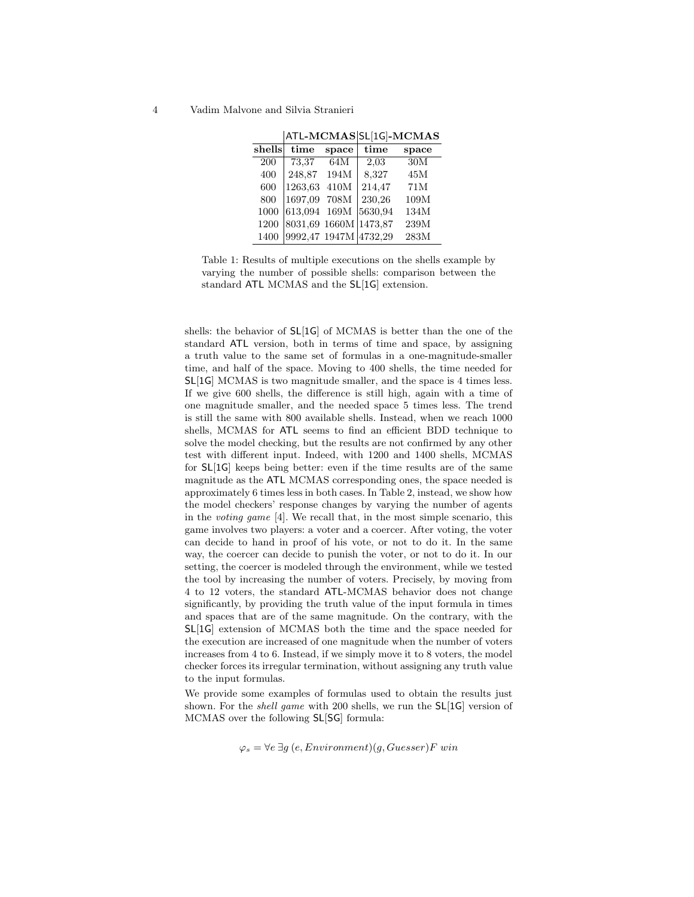4 Vadim Malvone and Silvia Stranieri

|        |               |       | ATL-MCMAS SL[1G]-MCMAS |       |
|--------|---------------|-------|------------------------|-------|
| shells | time          | space | time                   | space |
| 200    | 73,37         | 64M   | 2.03                   | 30M   |
| 400    | 248,87        | 194M  | 8,327                  | 45M   |
| 600    | 1263,63       | 410M  | 214,47                 | 71M   |
| 800    | 1697,09       | 708M  | 230,26                 | 109M  |
| 1000   | 613,094       | 169M  | 5630,94                | 134M  |
| 1200   | 8031,69 1660M |       | 1473,87                | 239M  |
| 1400   | 9992,47 1947M |       | 4732,29                | 283M  |

Table 1: Results of multiple executions on the shells example by varying the number of possible shells: comparison between the standard ATL MCMAS and the SL[1G] extension.

shells: the behavior of SL[1G] of MCMAS is better than the one of the standard ATL version, both in terms of time and space, by assigning a truth value to the same set of formulas in a one-magnitude-smaller time, and half of the space. Moving to 400 shells, the time needed for SL[1G] MCMAS is two magnitude smaller, and the space is 4 times less. If we give 600 shells, the difference is still high, again with a time of one magnitude smaller, and the needed space 5 times less. The trend is still the same with 800 available shells. Instead, when we reach 1000 shells, MCMAS for ATL seems to find an efficient BDD technique to solve the model checking, but the results are not confirmed by any other test with different input. Indeed, with 1200 and 1400 shells, MCMAS for SL[1G] keeps being better: even if the time results are of the same magnitude as the ATL MCMAS corresponding ones, the space needed is approximately 6 times less in both cases. In Table 2, instead, we show how the model checkers' response changes by varying the number of agents in the voting game [4]. We recall that, in the most simple scenario, this game involves two players: a voter and a coercer. After voting, the voter can decide to hand in proof of his vote, or not to do it. In the same way, the coercer can decide to punish the voter, or not to do it. In our setting, the coercer is modeled through the environment, while we tested the tool by increasing the number of voters. Precisely, by moving from 4 to 12 voters, the standard ATL-MCMAS behavior does not change significantly, by providing the truth value of the input formula in times and spaces that are of the same magnitude. On the contrary, with the SL[1G] extension of MCMAS both the time and the space needed for the execution are increased of one magnitude when the number of voters increases from 4 to 6. Instead, if we simply move it to 8 voters, the model checker forces its irregular termination, without assigning any truth value to the input formulas.

We provide some examples of formulas used to obtain the results just shown. For the *shell game* with 200 shells, we run the **SL[1G**] version of MCMAS over the following SL[SG] formula:

 $φ<sub>s</sub> = ∀e ∃g (e, Environment)(g, Guesser)$ F win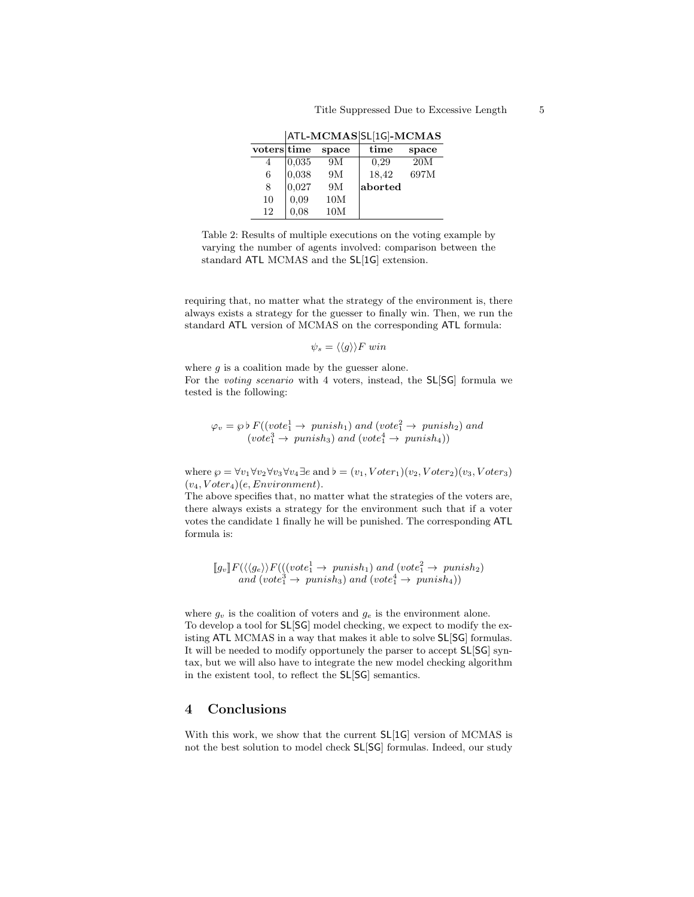|            |       |       | ---------            |       |
|------------|-------|-------|----------------------|-------|
| voterstime |       | space | time                 | space |
| 4          | 0.035 | 9M    | 0.29                 | 20M   |
| 6          | 0.038 | 9M    | 18,42                | 697M  |
| 8          | 0,027 | 9M    | $ \mathrm{aborted} $ |       |
| 10         | 0.09  | 10M   |                      |       |
| 12         | 0.08  | 10M   |                      |       |

ATL-MCMAS SL[1G]-MCMAS

Table 2: Results of multiple executions on the voting example by varying the number of agents involved: comparison between the standard ATL MCMAS and the SL[1G] extension.

requiring that, no matter what the strategy of the environment is, there always exists a strategy for the guesser to finally win. Then, we run the standard ATL version of MCMAS on the corresponding ATL formula:

$$
\psi_s = \langle \langle g \rangle \rangle F \; win
$$

where  $q$  is a coalition made by the guesser alone. For the voting scenario with 4 voters, instead, the SL[SG] formula we tested is the following:

$$
\varphi_v = \varphi \, b \, F((vote_1^1 \to \text{punish}_1) \text{ and } (vote_1^2 \to \text{punish}_2) \text{ and } (vote_1^3 \to \text{punish}_3) \text{ and } (vote_1^4 \to \text{punish}_4))
$$

where  $\wp = \forall v_1 \forall v_2 \forall v_3 \forall v_4 \exists e$  and  $\flat = (v_1, V \text{oter}_1)(v_2, V \text{oter}_2)(v_3, V \text{oter}_3)$  $(v_4, Voter_4)(e, Environment).$ 

The above specifies that, no matter what the strategies of the voters are, there always exists a strategy for the environment such that if a voter votes the candidate 1 finally he will be punished. The corresponding ATL formula is:

$$
[g_v]F(\langle\langle g_e \rangle\rangle F(((vote_1^1 \rightarrow \text{punish}_1) \text{ and } (vote_1^2 \rightarrow \text{punish}_2) \text{ and } (vote_1^3 \rightarrow \text{punish}_3) \text{ and } (vote_1^4 \rightarrow \text{punish}_4))
$$

where  $g_v$  is the coalition of voters and  $g_e$  is the environment alone. To develop a tool for SL[SG] model checking, we expect to modify the existing ATL MCMAS in a way that makes it able to solve SL[SG] formulas. It will be needed to modify opportunely the parser to accept SL[SG] syntax, but we will also have to integrate the new model checking algorithm in the existent tool, to reflect the SL[SG] semantics.

## 4 Conclusions

With this work, we show that the current SL[1G] version of MCMAS is not the best solution to model check SL[SG] formulas. Indeed, our study